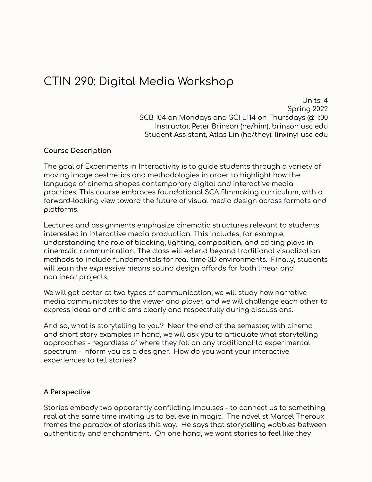### CTIN 290: Digital Media Workshop

Units: 4 Spring 2022 SCB 104 on Mondays and SCI L114 on Thursdays @ 1:00 Instructor, Peter Brinson (he/him), brinson usc edu Student Assistant, Atlas Lin (he/they), linxinyi usc edu

#### **Course Description**

The goal of Experiments in Interactivity is to guide students through a variety of moving image aesthetics and methodologies in order to highlight how the language of cinema shapes contemporary digital and interactive media practices. This course embraces foundational SCA filmmaking curriculum, with a forward-looking view toward the future of visual media design across formats and platforms.

Lectures and assignments emphasize cinematic structures relevant to students interested in interactive media production. This includes, for example, understanding the role of blocking, lighting, composition, and editing plays in cinematic communication. The class will extend beyond traditional visualization methods to include fundamentals for real-time 3D environments. Finally, students will learn the expressive means sound design affords for both linear and nonlinear projects.

We will get better at two types of communication; we will study how narrative media communicates to the viewer and player, and we will challenge each other to express ideas and criticisms clearly and respectfully during discussions.

And so, what is storytelling to you? Near the end of the semester, with cinema and short story examples in hand, we will ask you to articulate what storytelling approaches - regardless of where they fall on any traditional to experimental spectrum - inform you as a designer. How do you want your interactive experiences to tell stories?

#### **A Perspective**

Stories embody two apparently conflicting impulses – to connect us to something real at the same time inviting us to believe in magic. The novelist Marcel Theroux frames the paradox of stories this way. He says that storytelling wobbles between authenticity and enchantment. On one hand, we want stories to feel like they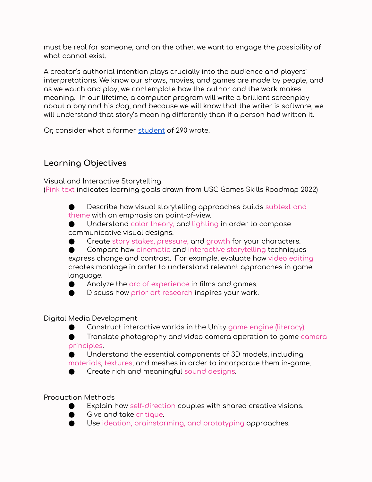must be real for someone, and on the other, we want to engage the possibility of what cannot exist.

A creator's authorial intention plays crucially into the audience and players' interpretations. We know our shows, movies, and games are made by people, and as we watch and play, we contemplate how the author and the work makes meaning. In our lifetime, a computer program will write a brilliant screenplay about a boy and his dog, and because we will know that the writer is software, we will understand that story's meaning differently than if a person had written it.

Or, consider what a former [student](https://sharkeya.medium.com/post-5-what-can-be-learned-from-ctin-290-62b877a2d9ab) of 290 wrote.

#### **Learning Objectives**

Visual and Interactive Storytelling

(Pink text indicates learning goals drawn from USC Games Skills Roadmap 2022)

Describe how visual storytelling approaches builds subtext and theme with an emphasis on point-of-view.

Understand color theory, and lighting in order to compose communicative visual designs.

Create story stakes, pressure, and growth for your characters.

● Compare how cinematic and interactive storytelling techniques express change and contrast. For example, evaluate how video editing creates montage in order to understand relevant approaches in game language.

Analyze the arc of experience in films and games.

● Discuss how prior art research inspires your work.

Digital Media Development

Construct interactive worlds in the Unity game engine (literacy).

Translate photography and video camera operation to game camera principles.

Understand the essential components of 3D models, including materials, textures, and meshes in order to incorporate them in-game.

Create rich and meaningful sound designs.

Production Methods

- Explain how self-direction couples with shared creative visions.
- Give and take critique.
- Use ideation, brainstorming, and prototyping approaches.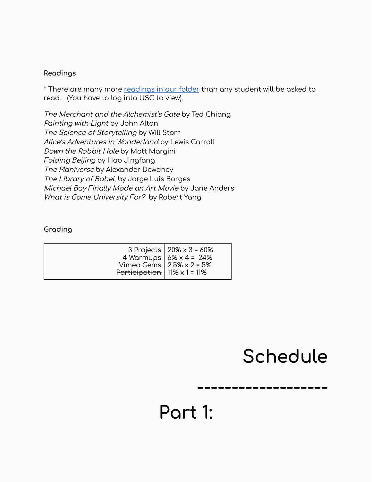#### **Readings**

\* There are many more [readings](https://drive.google.com/drive/folders/1rxKhs2UpwYhrnVbrS1dgFXTUgri18GIU?usp=sharing) in our folder than any student will be asked to read. (You have to log into USC to view).

The Merchant and the Alchemist's Gate by Ted Chiang Painting with Light by John Alton The Science of Storytelling by Will Storr Alice's Adventures in Wonderland by Lewis Carroll Down the Rabbit Hole by Matt Margini Folding Beijing by Hao Jingfang The Planiverse by Alexander Dewdney The Library of Babel, by Jorge Luis Borges Michael Bay Finally Made an Art Movie by Jane Anders What is Game University For? by Robert Yang

#### **Grading**

| 3 Projects   $20\% \times 3 = 60\%$<br>4 Warmups   $6\% \times 4 = 24\%$<br>Vimeo Gems   $2.5% \times 2 = 5%$<br>Participation   11% $\times$ 1 = 11% |  |  |
|-------------------------------------------------------------------------------------------------------------------------------------------------------|--|--|
|-------------------------------------------------------------------------------------------------------------------------------------------------------|--|--|

### **Schedule**

**-------------------**

### **Part 1:**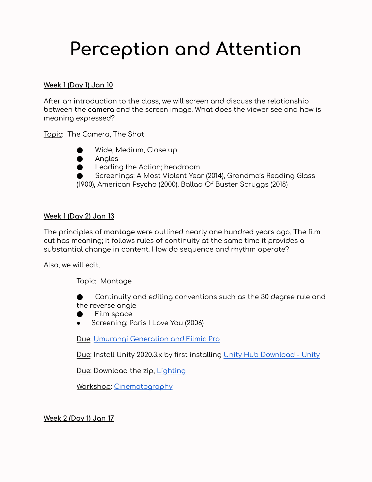### **Perception and Attention**

#### **Week 1 (Day 1) Jan 10**

After an introduction to the class, we will screen and discuss the relationship between the **camera** and the screen image. What does the viewer see and how is meaning expressed?

Topic: The Camera, The Shot



- **Angles**
- Leading the Action; headroom

Screenings: A Most Violent Year (2014), Grandma's Reading Glass (1900), American Psycho (2000), Ballad Of Buster Scruggs (2018)

#### **Week 1 (Day 2) Jan 13**

The principles of **montage** were outlined nearly one hundred years ago. The film cut has meaning; it follows rules of continuity at the same time it provides a substantial change in content. How do sequence and rhythm operate?

Also, we will edit.

Topic: Montage

Continuity and editing conventions such as the 30 degree rule and the reverse angle

- Film space
- Screening: Paris I Love You (2006)

Due: Umurangi [Generation](https://docs.google.com/document/d/1sdjqwVo3kis_3LhcWrDNpLOgfSDsKBTzrOqrGuASIZI/edit) and Filmic Pro

Due: Install Unity 2020.3.x by first installing Unity Hub [Download](https://unity3d.com/get-unity/download) - Unity

Due: Download the zip, **[Lighting](https://drive.google.com/drive/folders/1z1lWtDQxULNfgVB50qnbJhhPC7XFX2Z_?usp=sharing)** 

Workshop: [Cinematography](https://docs.google.com/document/d/1Rev2nO8F2Ts97WrCs5TZPZoWfe8SqwKoWROcHVLIPig/edit)

**Week 2 (Day 1) Jan 17**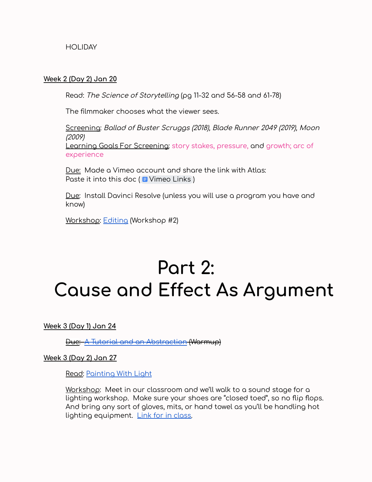**HOLIDAY** 

#### **Week 2 (Day 2) Jan 20**

Read: The Science of Storytelling (pg 11-32 and 56-58 and 61-78)

The filmmaker chooses what the viewer sees.

Screening: Ballad of Buster Scruggs (2018), Blade Runner 2049 (2019), Moon (2009) Learning Goals For Screening: story stakes, pressure, and growth; arc of experience

Due: Made a Vimeo account and share the link with Atlas: Paste it into this doc ( $\blacksquare$  [Vimeo](https://docs.google.com/document/d/1pO4Ju0HIM05TzeeP0ERJ4TWhhWye9oW4pB_bsFk-BSE/edit?usp=sharing) Links)

Due: Install Davinci Resolve (unless you will use a program you have and know)

Workshop: [Editing](https://docs.google.com/document/d/1Rev2nO8F2Ts97WrCs5TZPZoWfe8SqwKoWROcHVLIPig/edit) (Workshop #2)

### **Part 2: Cause and Effect As Argument**

**Week 3 (Day 1) Jan 24**

Due: A Tutorial and an [Abstraction](https://docs.google.com/document/d/1VdMojMdzZK62O0H9ixfXPVbMV8bGlDCSg64RJEHEvRs/edit) (Warmup)

**Week 3 (Day 2) Jan 27**

Read: [Painting](https://drive.google.com/drive/u/1/folders/1rxKhs2UpwYhrnVbrS1dgFXTUgri18GIU) With Light

Workshop: Meet in our classroom and we'll walk to a sound stage for a lighting workshop. Make sure your shoes are "closed toed", so no flip flops. And bring any sort of gloves, mits, or hand towel as you'll be handling hot lighting equipment. Link for in [class.](https://docs.google.com/document/d/1K5zXpwDwCJkxvy21XoGxAv9nopZ9NsM-IBOod13IMjE/edit)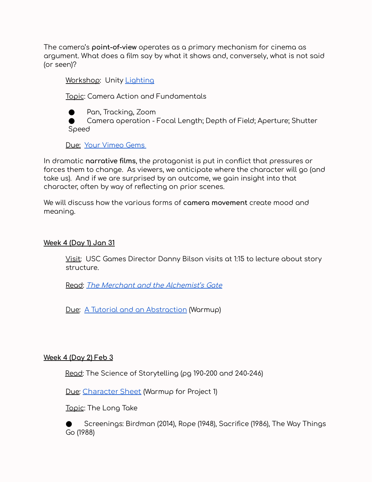The camera's **point-of-view** operates as a primary mechanism for cinema as argument. What does a film say by what it shows and, conversely, what is not said (or seen)?

Workshop: Unity [Lighting](https://drive.google.com/drive/u/1/folders/1z1lWtDQxULNfgVB50qnbJhhPC7XFX2Z_)

Topic: Camera Action and Fundamentals

● Pan, Tracking, Zoom

Camera operation - Focal Length; Depth of Field; Aperture; Shutter Speed

Due: Your [Vimeo](https://docs.google.com/document/d/1BZrXshAYJrYaoSrGxJfAraA4SElmOjdpDgkvXBmuRVM/edit) Gems

In dramatic **narrative films**, the protagonist is put in conflict that pressures or forces them to change. As viewers, we anticipate where the character will go (and take us). And if we are surprised by an outcome, we gain insight into that character, often by way of reflecting on prior scenes.

We will discuss how the various forms of **camera movement** create mood and meaning.

#### **Week 4 (Day 1) Jan 31**

Visit: USC Games Director Danny Bilson visits at 1:15 to lecture about story structure.

Read: The Merchant and the [Alchemist's](https://drive.google.com/drive/u/1/folders/1rxKhs2UpwYhrnVbrS1dgFXTUgri18GIU) Gate

Due: A Tutorial and an [Abstraction](https://docs.google.com/document/d/1VdMojMdzZK62O0H9ixfXPVbMV8bGlDCSg64RJEHEvRs/edit) (Warmup)

#### **Week 4 (Day 2) Feb 3**

Read: The Science of Storytelling (pg 190-200 and 240-246)

Due: [Character](https://docs.google.com/document/d/1OXeknkYHindE3uaUpaFUVK9NjSvzbCFfTxlAFvM2LBc/edit) Sheet (Warmup for Project 1)

Topic: The Long Take

Screenings: Birdman (2014), Rope (1948), Sacrifice (1986), The Way Things Go (1988)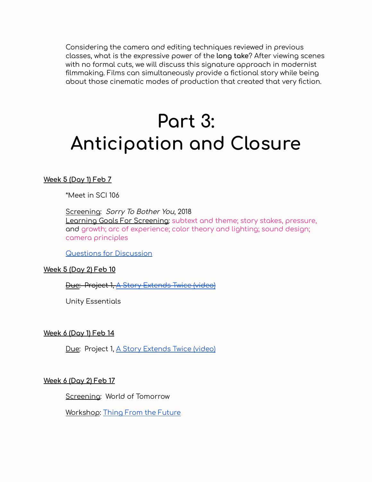Considering the camera and editing techniques reviewed in previous classes, what is the expressive power of the **long take**? After viewing scenes with no formal cuts, we will discuss this signature approach in modernist filmmaking. Films can simultaneously provide a fictional story while being about those cinematic modes of production that created that very fiction.

## **Part 3: Anticipation and Closure**

#### **Week 5 (Day 1) Feb 7**

\*Meet in SCI 106

Screening: Sorry To Bother You, 2018 Learning Goals For Screening: subtext and theme; story stakes, pressure, and growth; arc of experience; color theory and lighting; sound design; camera principles

Questions for [Discussion](https://docs.google.com/document/d/1fvVAtrO7icuae8wcfPyp2W8Smlfu1Jzyax6PTXw6AIg/edit)

#### **Week 5 (Day 2) Feb 10**

#### Due: Project 1, A Story [Extends](https://docs.google.com/document/d/1rEv3k2vBlZ7otRY6O-fAel1jIMIGR3enar1_CavHutA/edit) Twice (video)

Unity Essentials

#### **Week 6 (Day 1) Feb 14**

Due: Project 1, A Story [Extends](https://docs.google.com/document/d/1rEv3k2vBlZ7otRY6O-fAel1jIMIGR3enar1_CavHutA/edit) Twice (video)

#### **Week 6 (Day 2) Feb 17**

Screening: World of Tomorrow

Workshop: Thing From the [Future](http://www.peterbrinson.com/TFTF/TFTF_web/index.html)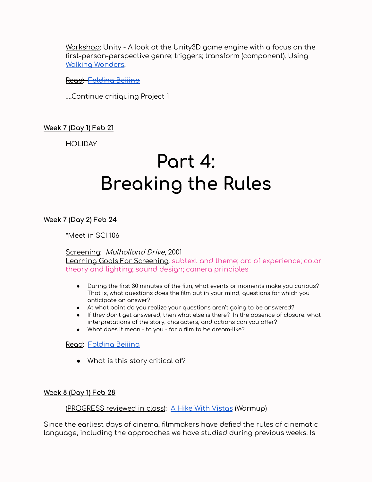Workshop: Unity - A look at the Unity3D game engine with a focus on the first-person-perspective genre; triggers; transform (component). Using Walking [Wonders.](https://drive.google.com/drive/u/1/folders/1z1lWtDQxULNfgVB50qnbJhhPC7XFX2Z_)

Read: [Folding](https://uncannymagazine.com/article/folding-beijing-2/) Beijing

….Continue critiquing Project 1

#### **Week 7 (Day 1) Feb 21**

**HOLIDAY** 

### **Part 4: Breaking the Rules**

**Week 7 (Day 2) Feb 24**

\*Meet in SCI 106

Screening: Mulholland Drive, 2001

Learning Goals For Screening: subtext and theme; arc of experience; color theory and lighting; sound design; camera principles

- During the first 30 minutes of the film, what events or moments make you curious? That is, what questions does the film put in your mind, questions for which you anticipate an answer?
- At what point do you realize your questions aren't going to be answered?
- If they don't get answered, then what else is there? In the absence of closure, what interpretations of the story, characters, and actions can you offer?
- What does it mean to you for a film to be dream-like?

Read: [Folding](https://uncannymagazine.com/article/folding-beijing-2/) Beijing

• What is this story critical of?

#### **Week 8 (Day 1) Feb 28**

#### (PROGRESS reviewed in class): A Hike With [Vistas](https://docs.google.com/document/d/1JJ309vTb9td8oDMrZw0qTG-hZ9-7mYesbhL01cZX7xY/edit) (Warmup)

Since the earliest days of cinema, filmmakers have defied the rules of cinematic language, including the approaches we have studied during previous weeks. Is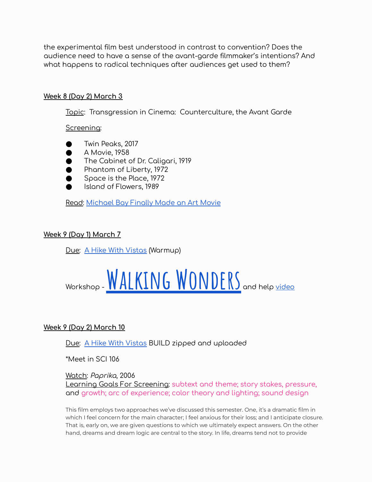the experimental film best understood in contrast to convention? Does the audience need to have a sense of the avant-garde filmmaker's intentions? And what happens to radical techniques after audiences get used to them?

#### **Week 8 (Day 2) March 3**

Topic: Transgression in Cinema: Counterculture, the Avant Garde

Screening:

- Twin Peaks, 2017
- A Movie, 1958
- The Cabinet of Dr. Caligari, 1919
- Phantom of Liberty, 1972
- Space is the Place, 1972
- Island of Flowers, 1989

Read: [Michael](http://io9.gizmodo.com/5301898/michael-bay-finally-made-an-art-movie) Bay Finally Made an Art Movie

#### **Week 9 (Day 1) March 7**

Due: A Hike With [Vistas](https://docs.google.com/document/d/1JJ309vTb9td8oDMrZw0qTG-hZ9-7mYesbhL01cZX7xY/edit) (Warmup)

# WORKShop - WALKING WONDERS and help [video](https://vimeo.com/613777795)

#### **Week 9 (Day 2) March 10**

Due: A Hike With [Vistas](https://docs.google.com/document/d/1JJ309vTb9td8oDMrZw0qTG-hZ9-7mYesbhL01cZX7xY/edit) BUILD zipped and uploaded

\*Meet in SCI 106

#### Watch: Paprika, 2006

Learning Goals For Screening: subtext and theme; story stakes, pressure, and growth; arc of experience; color theory and lighting; sound design

This film employs two approaches we've discussed this semester. One, it's a dramatic film in which I feel concern for the main character; I feel anxious for their loss; and I anticipate closure. That is, early on, we are given questions to which we ultimately expect answers. On the other hand, dreams and dream logic are central to the story. In life, dreams tend not to provide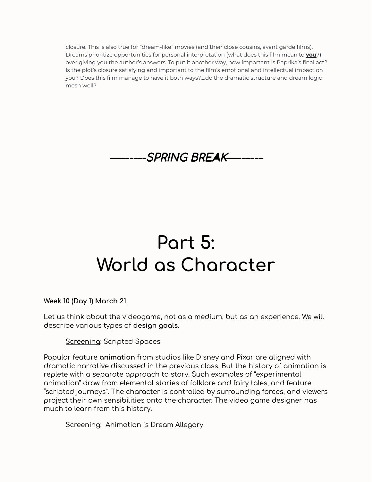closure. This is also true for "dream-like" movies (and their close cousins, avant garde films). Dreams prioritize opportunities for personal interpretation (what does this film mean to **you**?) over giving you the author's answers. To put it another way, how important is Paprika's final act? Is the plot's closure satisfying and important to the film's emotional and intellectual impact on you? Does this film manage to have it both ways?....do the dramatic structure and dream logic mesh well?



### **Part 5: World as Character**

#### **Week 10 (Day 1) March 21**

Let us think about the videogame, not as a medium, but as an experience. We will describe various types of **design goals**.

Screening: Scripted Spaces

Popular feature **animation** from studios like Disney and Pixar are aligned with dramatic narrative discussed in the previous class. But the history of animation is replete with a separate approach to story. Such examples of "experimental animation" draw from elemental stories of folklore and fairy tales, and feature "scripted journeys". The character is controlled by surrounding forces, and viewers project their own sensibilities onto the character. The video game designer has much to learn from this history.

**Screening: Animation is Dream Allegory**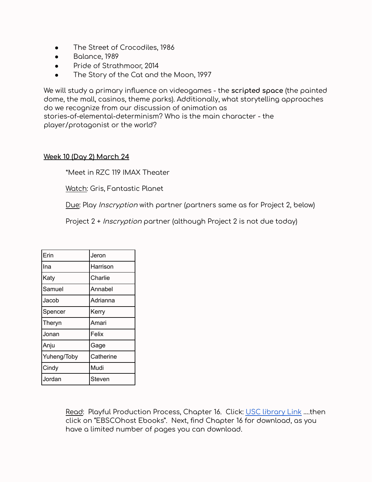- The Street of Crocodiles, 1986
- Balance, 1989
- Pride of Strathmoor, 2014
- The Story of the Cat and the Moon, 1997

We will study a primary influence on videogames - the **scripted space** (the painted dome, the mall, casinos, theme parks). Additionally, what storytelling approaches do we recognize from our discussion of animation as stories-of-elemental-determinism? Who is the main character - the player/protagonist or the world?

#### **Week 10 (Day 2) March 24**

\*Meet in RZC 119 IMAX Theater

Watch: Gris, Fantastic Planet

Due: Play Inscryption with partner (partners same as for Project 2, below)

Project 2 + *Inscryption* partner (although Project 2 is not due today)

| Erin        | Jeron     |
|-------------|-----------|
| Ina         | Harrison  |
| Katy        | Charlie   |
| Samuel      | Annabel   |
| Jacob       | Adrianna  |
| Spencer     | Kerry     |
| Theryn      | Amari     |
| Jonan       | Felix     |
| Anju        | Gage      |
| Yuheng/Toby | Catherine |
| Cindy       | Mudi      |
| Jordan      | Steven    |

Read: Playful Production Process, Chapter 16. Click: USC [library](https://uosc.primo.exlibrisgroup.com/discovery/fulldisplay?docid=alma991043510163403731&context=PC&vid=01USC_INST:01USC&lang=en&search_scope=MyInst_and_CI&adaptor=Primo%20Central&tab=Everything&mode=Basic) Link ….then click on "EBSCOhost Ebooks". Next, find Chapter 16 for download, as you have a limited number of pages you can download.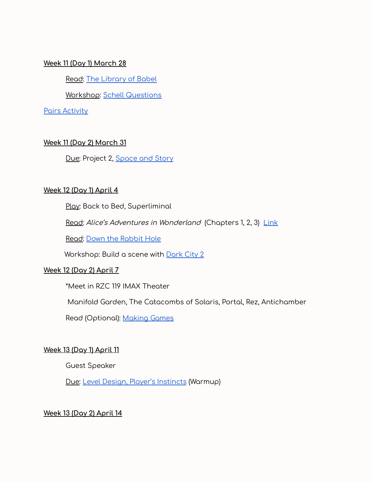#### **Week 11 (Day 1) March 28**

Read: The [Library](https://drive.google.com/drive/u/1/folders/1rxKhs2UpwYhrnVbrS1dgFXTUgri18GIU) of Babel

Workshop: Schell [Questions](https://docs.google.com/document/d/1aJ3spyHYaAKtSUh-2BhTzP5Znr9n6gPyjYdBqNC-Bz4/edit)

Pairs [Activity](https://docs.google.com/document/d/16OZYxR3rMYAlBiPB8Qvofh8g-R6vkYw8u2ynsLEc_n0/edit?usp=sharing)

#### **Week 11 (Day 2) March 31**

Due: Project 2, [Space](https://docs.google.com/document/d/1qRqbAmeM-Lu4h9Aw7gGtWrQ2oDuz1agcJu0SrJorroc/edit) and Story

#### **Week 12 (Day 1) April 4**

Play: Back to Bed, Superliminal

Read: Alice's Adventures in Wonderland (Chapters 1, 2, 3) [Link](https://www.gutenberg.org/files/11/11-h/11-h.htm)

Read: [D](http://io9.gizmodo.com/5301898/michael-bay-finally-made-an-art-movie)own the [Rabbit](https://www.theatlantic.com/entertainment/archive/2016/03/alice-in-wonderlands-influence-on-video-games/473082/) Hole

Workshop: Build a scene with [Dark](https://drive.google.com/drive/u/1/folders/1z1lWtDQxULNfgVB50qnbJhhPC7XFX2Z_) City 2

#### **Week 12 (Day 2) April 7**

\*Meet in RZC 119 IMAX Theater

Manifold Garden, The Catacombs of Solaris, Portal, Rez, Antichamber

Read (Optional): [Making](https://drive.google.com/drive/u/1/folders/1rxKhs2UpwYhrnVbrS1dgFXTUgri18GIU) Games

#### **Week 13 (Day 1) April 11**

Guest Speaker

Due: Level Design, Player's [Instincts](https://docs.google.com/document/d/1WjiBAYYgiFolNaZOwG08aHqKex6wLc3k5EDVwFYSZuU/edit) (Warmup)

#### **Week 13 (Day 2) April 14**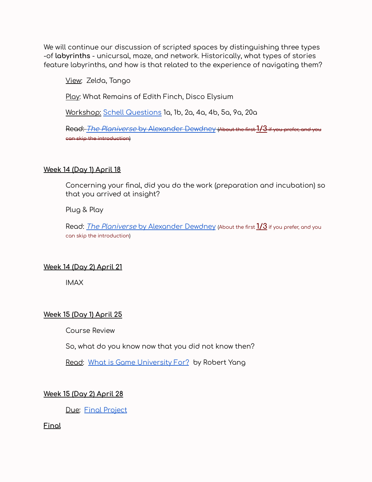We will continue our discussion of scripted spaces by distinguishing three types -of **labyrinths** - unicursal, maze, and network. Historically, what types of stories feature labyrinths, and how is that related to the experience of navigating them?

View: Zelda, Tango

Play: What Remains of Edith Finch, Disco Elysium

Workshop: Schell [Questions](https://docs.google.com/document/d/1aJ3spyHYaAKtSUh-2BhTzP5Znr9n6gPyjYdBqNC-Bz4/edit) 1a, 1b, 2a, 4a, 4b, 5a, 9a, 20a

Read: The Planiverse by [Alexander](https://drive.google.com/drive/u/1/folders/1rxKhs2UpwYhrnVbrS1dgFXTUgri18GIU) Dewdney (About the first **1/3** if you prefer, and you can skip the introduction)

#### **Week 14 (Day 1) April 18**

Concerning your final, did you do the work (preparation and incubation) so that you arrived at insight?

Plug & Play

Read: The Planiverse by [Alexander](https://drive.google.com/drive/u/1/folders/1rxKhs2UpwYhrnVbrS1dgFXTUgri18GIU) Dewdney (About the first **1/3** if you prefer, and you can skip the introduction)

#### **Week 14 (Day 2) April 21**

IMAX

#### **Week 15 (Day 1) April 25**

Course Review

So, what do you know now that you did not know then?

Read: What is Game [University](https://www.blog.radiator.debacle.us/2018/05/what-is-game-university-for.html) For? by Robert Yang

#### **Week 15 (Day 2) April 28**

Due: Final [Project](https://docs.google.com/document/d/1tOQBAJX4XWMOioxmZix_OY_hdTvCPH98ekCCtFwRtQI/edit)

**Final**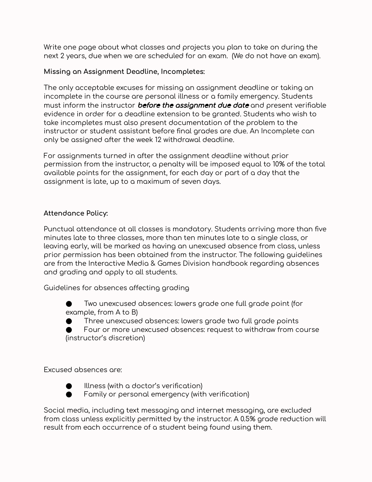Write one page about what classes and projects you plan to take on during the next 2 years, due when we are scheduled for an exam. (We do not have an exam).

#### **Missing an Assignment Deadline, Incompletes:**

The only acceptable excuses for missing an assignment deadline or taking an incomplete in the course are personal illness or a family emergency. Students must inform the instructor **before the assignment due date** and present verifiable evidence in order for a deadline extension to be granted. Students who wish to take incompletes must also present documentation of the problem to the instructor or student assistant before final grades are due. An Incomplete can only be assigned after the week 12 withdrawal deadline.

For assignments turned in after the assignment deadline without prior permission from the instructor, a penalty will be imposed equal to 10% of the total available points for the assignment, for each day or part of a day that the assignment is late, up to a maximum of seven days.

#### **Attendance Policy:**

Punctual attendance at all classes is mandatory. Students arriving more than five minutes late to three classes, more than ten minutes late to a single class, or leaving early, will be marked as having an unexcused absence from class, unless prior permission has been obtained from the instructor. The following guidelines are from the Interactive Media & Games Division handbook regarding absences and grading and apply to all students.

Guidelines for absences affecting grading

Two unexcused absences: lowers grade one full grade point (for example, from A to B)

Three unexcused absences: lowers grade two full grade points

Four or more unexcused absences: request to withdraw from course (instructor's discretion)

Excused absences are:



● Illness (with a doctor's verification)

● Family or personal emergency (with verification)

Social media, including text messaging and internet messaging, are excluded from class unless explicitly permitted by the instructor. A 0.5% grade reduction will result from each occurrence of a student being found using them.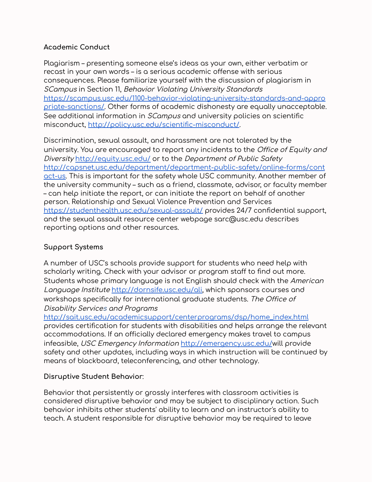#### **Academic Conduct**

Plagiarism – presenting someone else's ideas as your own, either verbatim or recast in your own words – is a serious academic offense with serious consequences. Please familiarize yourself with the discussion of plagiarism in SCampus in Section 11, Behavior Violating University Standard[s](https://scampus.usc.edu/1100-behavior-violating-university-standards-and-appropriate-sanctions/) [https://scampus.usc.edu/1100-behavior-violating-university-standards-and-appro](https://scampus.usc.edu/1100-behavior-violating-university-standards-and-appropriate-sanctions/) [priate-sanctions/.](https://scampus.usc.edu/1100-behavior-violating-university-standards-and-appropriate-sanctions/) Other forms of academic dishonesty are equally unacceptable. See additional information in *SCampus* and university policies on scientific misconduct, <http://policy.usc.edu/scientific-misconduct/>.

Discrimination, sexual assault, and harassment are not tolerated by the university. You are encouraged to report any incidents to the Office of Equity and Diversity <http://equity.usc.edu/> or to the Department of Public Safet[y](http://capsnet.usc.edu/department/department-public-safety/online-forms/contact-us) [http://capsnet.usc.edu/department/department-public-safety/online-forms/cont](http://capsnet.usc.edu/department/department-public-safety/online-forms/contact-us) [act-us](http://capsnet.usc.edu/department/department-public-safety/online-forms/contact-us). This is important for the safety whole USC community. Another member of the university community – such as a friend, classmate, advisor, or faculty member – can help initiate the report, or can initiate the report on behalf of another person. Relationship and Sexual Violence Prevention and Service[s](https://studenthealth.usc.edu/sexual-assault/) <https://studenthealth.usc.edu/sexual-assault/> provides 24/7 confidential support, and the sexual assault resource center webpage sarc@usc.edu describes reporting options and other resources.

#### **Support Systems**

A number of USC's schools provide support for students who need help with scholarly writing. Check with your advisor or program staff to find out more. Students whose primary language is not English should check with the American Language Institute [http://dornsife.usc.edu/ali,](http://dornsife.usc.edu/ali) which sponsors courses and workshops specifically for international graduate students. The Office of Disability Services and Program[s](http://sait.usc.edu/academicsupport/centerprograms/dsp/home_index.html)

[http://sait.usc.edu/academicsupport/centerprograms/dsp/home\\_index.html](http://sait.usc.edu/academicsupport/centerprograms/dsp/home_index.html) provides certification for students with disabilities and helps arrange the relevant accommodations. If an officially declared emergency makes travel to campus infeasible, USC Emergency Information <http://emergency.usc.edu/>will provide safety and other updates, including ways in which instruction will be continued by means of blackboard, teleconferencing, and other technology.

#### **Disruptive Student Behavior**:

Behavior that persistently or grossly interferes with classroom activities is considered disruptive behavior and may be subject to disciplinary action. Such behavior inhibits other students' ability to learn and an instructor's ability to teach. A student responsible for disruptive behavior may be required to leave